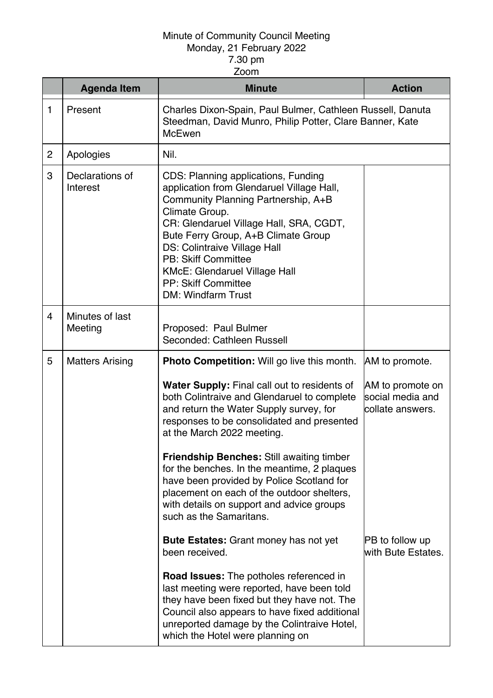|                | <b>Agenda Item</b>          | <b>Minute</b>                                                                                                                                                                                                                                                                                                                                                                                | <b>Action</b>                                            |
|----------------|-----------------------------|----------------------------------------------------------------------------------------------------------------------------------------------------------------------------------------------------------------------------------------------------------------------------------------------------------------------------------------------------------------------------------------------|----------------------------------------------------------|
| 1              | Present                     | Charles Dixon-Spain, Paul Bulmer, Cathleen Russell, Danuta<br>Steedman, David Munro, Philip Potter, Clare Banner, Kate<br><b>McEwen</b>                                                                                                                                                                                                                                                      |                                                          |
| $\overline{2}$ | Apologies                   | Nil.                                                                                                                                                                                                                                                                                                                                                                                         |                                                          |
| 3              | Declarations of<br>Interest | CDS: Planning applications, Funding<br>application from Glendaruel Village Hall,<br>Community Planning Partnership, A+B<br>Climate Group.<br>CR: Glendaruel Village Hall, SRA, CGDT,<br>Bute Ferry Group, A+B Climate Group<br><b>DS: Colintraive Village Hall</b><br><b>PB: Skiff Committee</b><br><b>KMcE: Glendaruel Village Hall</b><br>PP: Skiff Committee<br><b>DM: Windfarm Trust</b> |                                                          |
| $\overline{4}$ | Minutes of last<br>Meeting  | Proposed: Paul Bulmer<br>Seconded: Cathleen Russell                                                                                                                                                                                                                                                                                                                                          |                                                          |
| 5              | <b>Matters Arising</b>      | <b>Photo Competition:</b> Will go live this month.                                                                                                                                                                                                                                                                                                                                           | AM to promote.                                           |
|                |                             | Water Supply: Final call out to residents of<br>both Colintraive and Glendaruel to complete<br>and return the Water Supply survey, for<br>responses to be consolidated and presented<br>at the March 2022 meeting.                                                                                                                                                                           | AM to promote on<br>social media and<br>collate answers. |
|                |                             | <b>Friendship Benches: Still awaiting timber</b><br>for the benches. In the meantime, 2 plaques<br>have been provided by Police Scotland for<br>placement on each of the outdoor shelters,<br>with details on support and advice groups<br>such as the Samaritans.                                                                                                                           |                                                          |
|                |                             | <b>Bute Estates:</b> Grant money has not yet<br>been received.                                                                                                                                                                                                                                                                                                                               | <b>PB</b> to follow up<br>with Bute Estates.             |
|                |                             | <b>Road Issues:</b> The potholes referenced in<br>last meeting were reported, have been told<br>they have been fixed but they have not. The<br>Council also appears to have fixed additional<br>unreported damage by the Colintraive Hotel,<br>which the Hotel were planning on                                                                                                              |                                                          |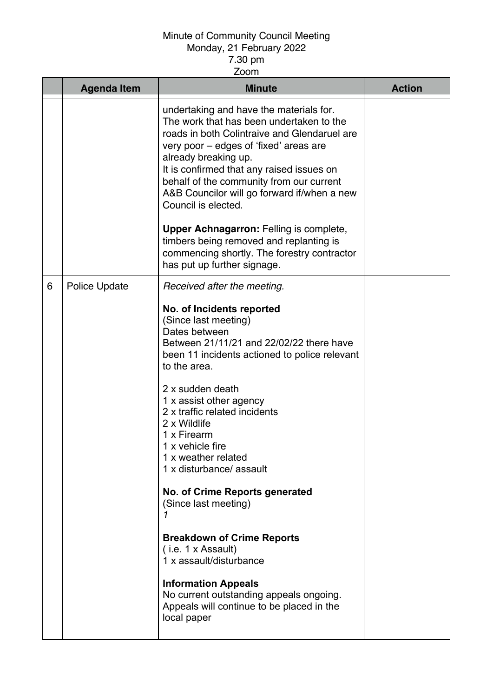| <b>Agenda Item</b> | <b>Minute</b>                                                                                                                                                                                                                                                                                                                                                                                                                                                                                                                                                                                                                                                                                    | <b>Action</b> |
|--------------------|--------------------------------------------------------------------------------------------------------------------------------------------------------------------------------------------------------------------------------------------------------------------------------------------------------------------------------------------------------------------------------------------------------------------------------------------------------------------------------------------------------------------------------------------------------------------------------------------------------------------------------------------------------------------------------------------------|---------------|
|                    | undertaking and have the materials for.<br>The work that has been undertaken to the<br>roads in both Colintraive and Glendaruel are<br>very poor – edges of 'fixed' areas are<br>already breaking up.<br>It is confirmed that any raised issues on<br>behalf of the community from our current<br>A&B Councilor will go forward if/when a new<br>Council is elected.                                                                                                                                                                                                                                                                                                                             |               |
|                    | <b>Upper Achnagarron: Felling is complete,</b><br>timbers being removed and replanting is<br>commencing shortly. The forestry contractor<br>has put up further signage.                                                                                                                                                                                                                                                                                                                                                                                                                                                                                                                          |               |
| 6<br>Police Update | Received after the meeting.<br>No. of Incidents reported<br>(Since last meeting)<br>Dates between<br>Between 21/11/21 and 22/02/22 there have<br>been 11 incidents actioned to police relevant<br>to the area.<br>2 x sudden death<br>1 x assist other agency<br>2 x traffic related incidents<br>2 x Wildlife<br>1 x Firearm<br>1 x vehicle fire<br>1 x weather related<br>1 x disturbance/ assault<br><b>No. of Crime Reports generated</b><br>(Since last meeting)<br><b>Breakdown of Crime Reports</b><br>(i.e. 1 x Assault)<br>1 x assault/disturbance<br><b>Information Appeals</b><br>No current outstanding appeals ongoing.<br>Appeals will continue to be placed in the<br>local paper |               |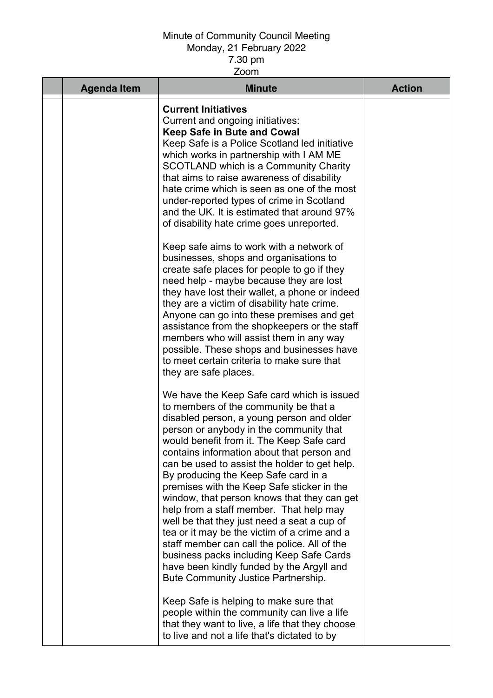| <b>Agenda Item</b> | <b>Minute</b>                                                                                                                                                                                                                                                                                                                                                                                                                                                                                                                                                                                                                                                                                                                                                                          | <b>Action</b> |
|--------------------|----------------------------------------------------------------------------------------------------------------------------------------------------------------------------------------------------------------------------------------------------------------------------------------------------------------------------------------------------------------------------------------------------------------------------------------------------------------------------------------------------------------------------------------------------------------------------------------------------------------------------------------------------------------------------------------------------------------------------------------------------------------------------------------|---------------|
|                    | <b>Current Initiatives</b><br>Current and ongoing initiatives:<br><b>Keep Safe in Bute and Cowal</b><br>Keep Safe is a Police Scotland led initiative<br>which works in partnership with I AM ME<br>SCOTLAND which is a Community Charity<br>that aims to raise awareness of disability<br>hate crime which is seen as one of the most<br>under-reported types of crime in Scotland<br>and the UK. It is estimated that around 97%<br>of disability hate crime goes unreported.                                                                                                                                                                                                                                                                                                        |               |
|                    | Keep safe aims to work with a network of<br>businesses, shops and organisations to<br>create safe places for people to go if they<br>need help - maybe because they are lost<br>they have lost their wallet, a phone or indeed<br>they are a victim of disability hate crime.<br>Anyone can go into these premises and get<br>assistance from the shopkeepers or the staff<br>members who will assist them in any way<br>possible. These shops and businesses have<br>to meet certain criteria to make sure that<br>they are safe places.                                                                                                                                                                                                                                              |               |
|                    | We have the Keep Safe card which is issued<br>to members of the community be that a<br>disabled person, a young person and older<br>person or anybody in the community that<br>would benefit from it. The Keep Safe card<br>contains information about that person and<br>can be used to assist the holder to get help.<br>By producing the Keep Safe card in a<br>premises with the Keep Safe sticker in the<br>window, that person knows that they can get<br>help from a staff member. That help may<br>well be that they just need a seat a cup of<br>tea or it may be the victim of a crime and a<br>staff member can call the police. All of the<br>business packs including Keep Safe Cards<br>have been kindly funded by the Argyll and<br>Bute Community Justice Partnership. |               |
|                    | Keep Safe is helping to make sure that<br>people within the community can live a life<br>that they want to live, a life that they choose<br>to live and not a life that's dictated to by                                                                                                                                                                                                                                                                                                                                                                                                                                                                                                                                                                                               |               |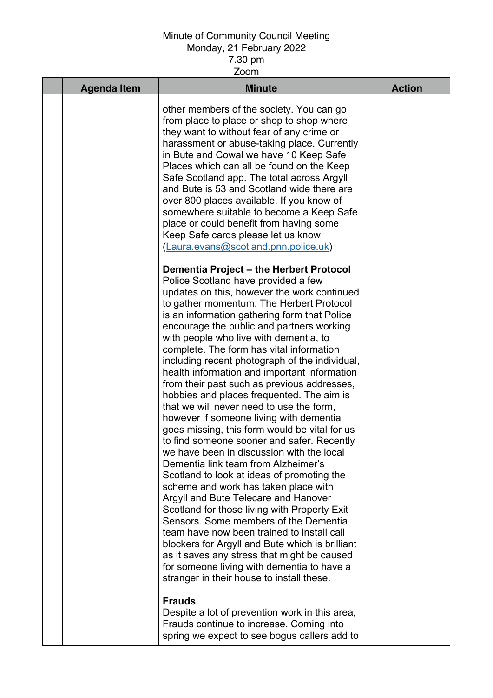| <b>Agenda Item</b> | <b>Minute</b>                                                                                                                                                                                                                                                                                                                                                                                                                                                                                                                                                                                                                                                                                                                                                                                                                                                                                                                                                                                                                                                                                                                                                                                                                                                                                          | <b>Action</b> |
|--------------------|--------------------------------------------------------------------------------------------------------------------------------------------------------------------------------------------------------------------------------------------------------------------------------------------------------------------------------------------------------------------------------------------------------------------------------------------------------------------------------------------------------------------------------------------------------------------------------------------------------------------------------------------------------------------------------------------------------------------------------------------------------------------------------------------------------------------------------------------------------------------------------------------------------------------------------------------------------------------------------------------------------------------------------------------------------------------------------------------------------------------------------------------------------------------------------------------------------------------------------------------------------------------------------------------------------|---------------|
|                    | other members of the society. You can go<br>from place to place or shop to shop where<br>they want to without fear of any crime or<br>harassment or abuse-taking place. Currently<br>in Bute and Cowal we have 10 Keep Safe<br>Places which can all be found on the Keep<br>Safe Scotland app. The total across Argyll<br>and Bute is 53 and Scotland wide there are<br>over 800 places available. If you know of<br>somewhere suitable to become a Keep Safe<br>place or could benefit from having some<br>Keep Safe cards please let us know<br>(Laura.evans@scotland.pnn.police.uk)                                                                                                                                                                                                                                                                                                                                                                                                                                                                                                                                                                                                                                                                                                                 |               |
|                    | Dementia Project - the Herbert Protocol<br>Police Scotland have provided a few<br>updates on this, however the work continued<br>to gather momentum. The Herbert Protocol<br>is an information gathering form that Police<br>encourage the public and partners working<br>with people who live with dementia, to<br>complete. The form has vital information<br>including recent photograph of the individual,<br>health information and important information<br>from their past such as previous addresses,<br>hobbies and places frequented. The aim is<br>that we will never need to use the form,<br>however if someone living with dementia<br>goes missing, this form would be vital for us<br>to find someone sooner and safer. Recently<br>we have been in discussion with the local<br>Dementia link team from Alzheimer's<br>Scotland to look at ideas of promoting the<br>scheme and work has taken place with<br>Argyll and Bute Telecare and Hanover<br>Scotland for those living with Property Exit<br>Sensors. Some members of the Dementia<br>team have now been trained to install call<br>blockers for Argyll and Bute which is brilliant<br>as it saves any stress that might be caused<br>for someone living with dementia to have a<br>stranger in their house to install these. |               |
|                    | <b>Frauds</b><br>Despite a lot of prevention work in this area,<br>Frauds continue to increase. Coming into<br>spring we expect to see bogus callers add to                                                                                                                                                                                                                                                                                                                                                                                                                                                                                                                                                                                                                                                                                                                                                                                                                                                                                                                                                                                                                                                                                                                                            |               |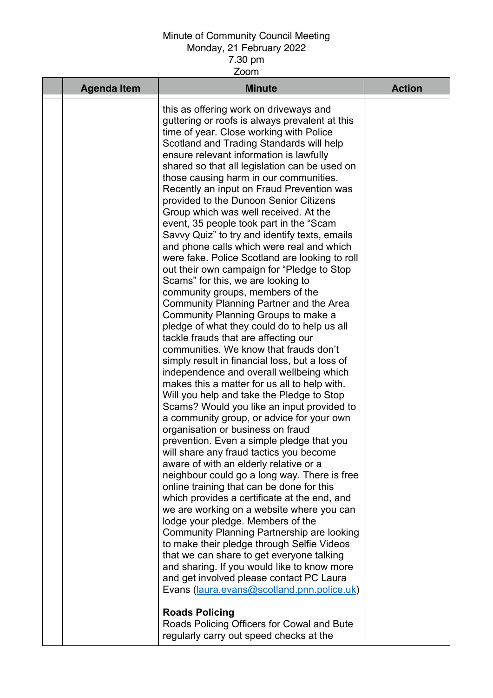| <b>Agenda Item</b> | <b>Minute</b>                                                                                                                                                                                                                                                                                                                                                                                                                                                                                                                                                                                                                                                                                                                                                                                                                                                                                                                                                                                                                                                                                                                                                                                                                                                                                                                                                                                                                                                                                                                                                                                                                                                                                                                                                                                                                                                                                                                                                                                                                                    | <b>Action</b> |
|--------------------|--------------------------------------------------------------------------------------------------------------------------------------------------------------------------------------------------------------------------------------------------------------------------------------------------------------------------------------------------------------------------------------------------------------------------------------------------------------------------------------------------------------------------------------------------------------------------------------------------------------------------------------------------------------------------------------------------------------------------------------------------------------------------------------------------------------------------------------------------------------------------------------------------------------------------------------------------------------------------------------------------------------------------------------------------------------------------------------------------------------------------------------------------------------------------------------------------------------------------------------------------------------------------------------------------------------------------------------------------------------------------------------------------------------------------------------------------------------------------------------------------------------------------------------------------------------------------------------------------------------------------------------------------------------------------------------------------------------------------------------------------------------------------------------------------------------------------------------------------------------------------------------------------------------------------------------------------------------------------------------------------------------------------------------------------|---------------|
|                    | this as offering work on driveways and<br>guttering or roofs is always prevalent at this<br>time of year. Close working with Police<br>Scotland and Trading Standards will help<br>ensure relevant information is lawfully<br>shared so that all legislation can be used on<br>those causing harm in our communities.<br>Recently an input on Fraud Prevention was<br>provided to the Dunoon Senior Citizens<br>Group which was well received. At the<br>event, 35 people took part in the "Scam<br>Savvy Quiz" to try and identify texts, emails<br>and phone calls which were real and which<br>were fake. Police Scotland are looking to roll<br>out their own campaign for "Pledge to Stop<br>Scams" for this, we are looking to<br>community groups, members of the<br>Community Planning Partner and the Area<br>Community Planning Groups to make a<br>pledge of what they could do to help us all<br>tackle frauds that are affecting our<br>communities. We know that frauds don't<br>simply result in financial loss, but a loss of<br>independence and overall wellbeing which<br>makes this a matter for us all to help with.<br>Will you help and take the Pledge to Stop<br>Scams? Would you like an input provided to<br>a community group, or advice for your own<br>organisation or business on fraud<br>prevention. Even a simple pledge that you<br>will share any fraud tactics you become<br>aware of with an elderly relative or a<br>neighbour could go a long way. There is free<br>online training that can be done for this<br>which provides a certificate at the end, and<br>we are working on a website where you can<br>lodge your pledge. Members of the<br>Community Planning Partnership are looking<br>to make their pledge through Selfie Videos<br>that we can share to get everyone talking<br>and sharing. If you would like to know more<br>and get involved please contact PC Laura<br>Evans (laura.evans@scotland.pnn.police.uk)<br><b>Roads Policing</b><br>Roads Policing Officers for Cowal and Bute |               |
|                    | regularly carry out speed checks at the                                                                                                                                                                                                                                                                                                                                                                                                                                                                                                                                                                                                                                                                                                                                                                                                                                                                                                                                                                                                                                                                                                                                                                                                                                                                                                                                                                                                                                                                                                                                                                                                                                                                                                                                                                                                                                                                                                                                                                                                          |               |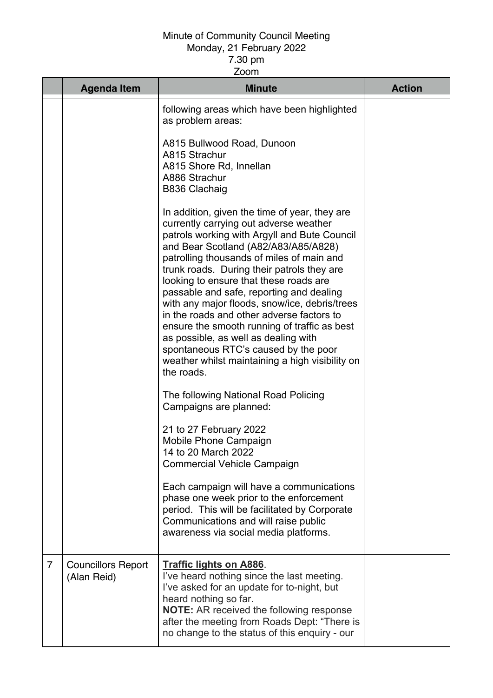|                | <b>Agenda Item</b>                       | <b>Minute</b>                                                                                                                                                                                                                                                                                                                                                                                                                                                                                                                                                                                                                                                   | <b>Action</b> |
|----------------|------------------------------------------|-----------------------------------------------------------------------------------------------------------------------------------------------------------------------------------------------------------------------------------------------------------------------------------------------------------------------------------------------------------------------------------------------------------------------------------------------------------------------------------------------------------------------------------------------------------------------------------------------------------------------------------------------------------------|---------------|
|                |                                          | following areas which have been highlighted<br>as problem areas:                                                                                                                                                                                                                                                                                                                                                                                                                                                                                                                                                                                                |               |
|                |                                          | A815 Bullwood Road, Dunoon<br>A815 Strachur<br>A815 Shore Rd, Innellan<br>A886 Strachur<br><b>B836 Clachaig</b>                                                                                                                                                                                                                                                                                                                                                                                                                                                                                                                                                 |               |
|                |                                          | In addition, given the time of year, they are<br>currently carrying out adverse weather<br>patrols working with Argyll and Bute Council<br>and Bear Scotland (A82/A83/A85/A828)<br>patrolling thousands of miles of main and<br>trunk roads. During their patrols they are<br>looking to ensure that these roads are<br>passable and safe, reporting and dealing<br>with any major floods, snow/ice, debris/trees<br>in the roads and other adverse factors to<br>ensure the smooth running of traffic as best<br>as possible, as well as dealing with<br>spontaneous RTC's caused by the poor<br>weather whilst maintaining a high visibility on<br>the roads. |               |
|                |                                          | The following National Road Policing<br>Campaigns are planned:                                                                                                                                                                                                                                                                                                                                                                                                                                                                                                                                                                                                  |               |
|                |                                          | 21 to 27 February 2022<br>Mobile Phone Campaign<br>14 to 20 March 2022<br><b>Commercial Vehicle Campaign</b>                                                                                                                                                                                                                                                                                                                                                                                                                                                                                                                                                    |               |
|                |                                          | Each campaign will have a communications<br>phase one week prior to the enforcement<br>period. This will be facilitated by Corporate<br>Communications and will raise public<br>awareness via social media platforms.                                                                                                                                                                                                                                                                                                                                                                                                                                           |               |
| $\overline{7}$ | <b>Councillors Report</b><br>(Alan Reid) | <b>Traffic lights on A886.</b><br>I've heard nothing since the last meeting.<br>I've asked for an update for to-night, but<br>heard nothing so far.<br><b>NOTE:</b> AR received the following response<br>after the meeting from Roads Dept: "There is<br>no change to the status of this enquiry - our                                                                                                                                                                                                                                                                                                                                                         |               |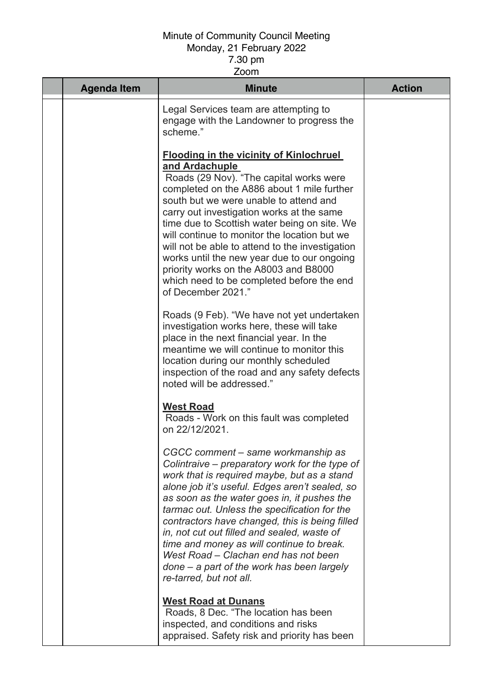| <b>Agenda Item</b> | <b>Minute</b>                                                                                                                                                                                                                                                                                                                                                                                                                                                                                                                                                  | <b>Action</b> |
|--------------------|----------------------------------------------------------------------------------------------------------------------------------------------------------------------------------------------------------------------------------------------------------------------------------------------------------------------------------------------------------------------------------------------------------------------------------------------------------------------------------------------------------------------------------------------------------------|---------------|
|                    | Legal Services team are attempting to<br>engage with the Landowner to progress the<br>scheme."                                                                                                                                                                                                                                                                                                                                                                                                                                                                 |               |
|                    | <b>Flooding in the vicinity of Kinlochruel</b><br>and Ardachuple<br>Roads (29 Nov). "The capital works were<br>completed on the A886 about 1 mile further<br>south but we were unable to attend and<br>carry out investigation works at the same<br>time due to Scottish water being on site. We<br>will continue to monitor the location but we<br>will not be able to attend to the investigation<br>works until the new year due to our ongoing<br>priority works on the A8003 and B8000<br>which need to be completed before the end<br>of December 2021." |               |
|                    | Roads (9 Feb). "We have not yet undertaken<br>investigation works here, these will take<br>place in the next financial year. In the<br>meantime we will continue to monitor this<br>location during our monthly scheduled<br>inspection of the road and any safety defects<br>noted will be addressed."                                                                                                                                                                                                                                                        |               |
|                    | <b>West Road</b><br>Roads - Work on this fault was completed<br>on 22/12/2021.                                                                                                                                                                                                                                                                                                                                                                                                                                                                                 |               |
|                    | CGCC comment - same workmanship as<br>Colintraive – preparatory work for the type of<br>work that is required maybe, but as a stand<br>alone job it's useful. Edges aren't sealed, so<br>as soon as the water goes in, it pushes the<br>tarmac out. Unless the specification for the<br>contractors have changed, this is being filled<br>in, not cut out filled and sealed, waste of<br>time and money as will continue to break.<br>West Road – Clachan end has not been<br>$done - a$ part of the work has been largely<br>re-tarred, but not all.          |               |
|                    | <b>West Road at Dunans</b><br>Roads, 8 Dec. "The location has been<br>inspected, and conditions and risks<br>appraised. Safety risk and priority has been                                                                                                                                                                                                                                                                                                                                                                                                      |               |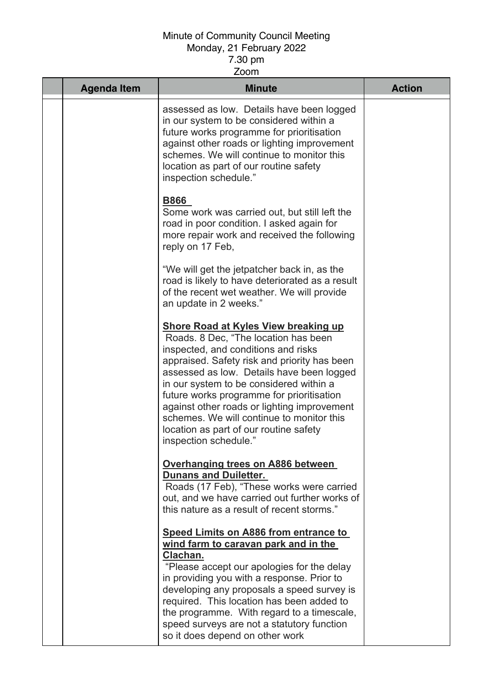| <b>Agenda Item</b> | <b>Minute</b>                                                                                                                                                                                                                                                                                                                                                                                                                                                                  | <b>Action</b> |
|--------------------|--------------------------------------------------------------------------------------------------------------------------------------------------------------------------------------------------------------------------------------------------------------------------------------------------------------------------------------------------------------------------------------------------------------------------------------------------------------------------------|---------------|
|                    | assessed as low. Details have been logged<br>in our system to be considered within a<br>future works programme for prioritisation<br>against other roads or lighting improvement<br>schemes. We will continue to monitor this<br>location as part of our routine safety<br>inspection schedule."                                                                                                                                                                               |               |
|                    | <b>B866</b><br>Some work was carried out, but still left the<br>road in poor condition. I asked again for<br>more repair work and received the following<br>reply on 17 Feb,                                                                                                                                                                                                                                                                                                   |               |
|                    | "We will get the jetpatcher back in, as the<br>road is likely to have deteriorated as a result<br>of the recent wet weather. We will provide<br>an update in 2 weeks."                                                                                                                                                                                                                                                                                                         |               |
|                    | <b>Shore Road at Kyles View breaking up</b><br>Roads. 8 Dec, "The location has been<br>inspected, and conditions and risks<br>appraised. Safety risk and priority has been<br>assessed as low. Details have been logged<br>in our system to be considered within a<br>future works programme for prioritisation<br>against other roads or lighting improvement<br>schemes. We will continue to monitor this<br>location as part of our routine safety<br>inspection schedule." |               |
|                    | Overhanging trees on A886 between<br><b>Dunans and Duiletter.</b><br>Roads (17 Feb), "These works were carried<br>out, and we have carried out further works of<br>this nature as a result of recent storms."                                                                                                                                                                                                                                                                  |               |
|                    | <b>Speed Limits on A886 from entrance to</b><br>wind farm to caravan park and in the<br>Clachan.<br>"Please accept our apologies for the delay<br>in providing you with a response. Prior to<br>developing any proposals a speed survey is<br>required. This location has been added to<br>the programme. With regard to a timescale,<br>speed surveys are not a statutory function<br>so it does depend on other work                                                         |               |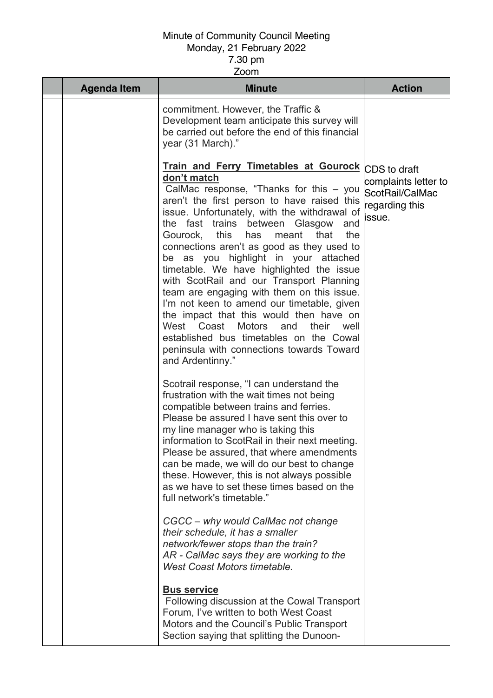| <b>Agenda Item</b> | <b>Minute</b>                                                                                                                                                                                                                                                                                                                                                                                                                                                                                                                                                                                                                                                                                                                                                                                   | <b>Action</b>                                                       |
|--------------------|-------------------------------------------------------------------------------------------------------------------------------------------------------------------------------------------------------------------------------------------------------------------------------------------------------------------------------------------------------------------------------------------------------------------------------------------------------------------------------------------------------------------------------------------------------------------------------------------------------------------------------------------------------------------------------------------------------------------------------------------------------------------------------------------------|---------------------------------------------------------------------|
|                    | commitment. However, the Traffic &<br>Development team anticipate this survey will<br>be carried out before the end of this financial<br>year (31 March)."                                                                                                                                                                                                                                                                                                                                                                                                                                                                                                                                                                                                                                      |                                                                     |
|                    | Train and Ferry Timetables at Gourock CDS to draft<br>don't match<br>CalMac response, "Thanks for this $-$ you<br>aren't the first person to have raised this<br>issue. Unfortunately, with the withdrawal of<br>the fast trains between Glasgow and<br>Gourock, this<br>has<br>meant<br>the<br>that<br>connections aren't as good as they used to<br>be as you highlight in your attached<br>timetable. We have highlighted the issue<br>with ScotRail and our Transport Planning<br>team are engaging with them on this issue.<br>I'm not keen to amend our timetable, given<br>the impact that this would then have on<br>West<br>Coast<br><b>Motors</b><br>their<br>and<br>well<br>established bus timetables on the Cowal<br>peninsula with connections towards Toward<br>and Ardentinny." | complaints letter to<br>ScotRail/CalMac<br>regarding this<br>issue. |
|                    | Scotrail response, "I can understand the<br>frustration with the wait times not being<br>compatible between trains and ferries.<br>Please be assured I have sent this over to<br>my line manager who is taking this<br>information to ScotRail in their next meeting.<br>Please be assured, that where amendments<br>can be made, we will do our best to change<br>these. However, this is not always possible<br>as we have to set these times based on the<br>full network's timetable."                                                                                                                                                                                                                                                                                                      |                                                                     |
|                    | CGCC – why would CalMac not change<br>their schedule, it has a smaller<br>network/fewer stops than the train?<br>AR - CalMac says they are working to the<br><b>West Coast Motors timetable.</b>                                                                                                                                                                                                                                                                                                                                                                                                                                                                                                                                                                                                |                                                                     |
|                    | <b>Bus service</b><br>Following discussion at the Cowal Transport<br>Forum, I've written to both West Coast<br>Motors and the Council's Public Transport<br>Section saying that splitting the Dunoon-                                                                                                                                                                                                                                                                                                                                                                                                                                                                                                                                                                                           |                                                                     |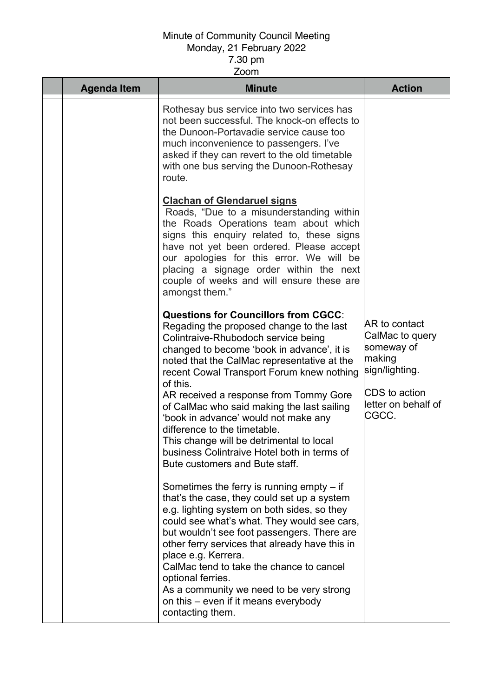| <b>Agenda Item</b> | <b>Minute</b>                                                                                                                                                                                                                                                                                                                                                                                                                                                                                                                                                                     | <b>Action</b>                                                                                                                      |
|--------------------|-----------------------------------------------------------------------------------------------------------------------------------------------------------------------------------------------------------------------------------------------------------------------------------------------------------------------------------------------------------------------------------------------------------------------------------------------------------------------------------------------------------------------------------------------------------------------------------|------------------------------------------------------------------------------------------------------------------------------------|
|                    | Rothesay bus service into two services has<br>not been successful. The knock-on effects to<br>the Dunoon-Portavadie service cause too<br>much inconvenience to passengers. I've<br>asked if they can revert to the old timetable<br>with one bus serving the Dunoon-Rothesay<br>route.                                                                                                                                                                                                                                                                                            |                                                                                                                                    |
|                    | <b>Clachan of Glendaruel signs</b><br>Roads, "Due to a misunderstanding within<br>the Roads Operations team about which<br>signs this enquiry related to, these signs<br>have not yet been ordered. Please accept<br>our apologies for this error. We will be<br>placing a signage order within the next<br>couple of weeks and will ensure these are<br>amongst them."                                                                                                                                                                                                           |                                                                                                                                    |
|                    | <b>Questions for Councillors from CGCC:</b><br>Regading the proposed change to the last<br>Colintraive-Rhubodoch service being<br>changed to become 'book in advance', it is<br>noted that the CalMac representative at the<br>recent Cowal Transport Forum knew nothing<br>of this.<br>AR received a response from Tommy Gore<br>of CalMac who said making the last sailing<br>'book in advance' would not make any<br>difference to the timetable.<br>This change will be detrimental to local<br>business Colintraive Hotel both in terms of<br>Bute customers and Bute staff. | <b>AR</b> to contact<br>CalMac to query<br>someway of<br>making<br>sign/lighting.<br>CDS to action<br>letter on behalf of<br>CGCC. |
|                    | Sometimes the ferry is running empty $-$ if<br>that's the case, they could set up a system<br>e.g. lighting system on both sides, so they<br>could see what's what. They would see cars,<br>but wouldn't see foot passengers. There are<br>other ferry services that already have this in<br>place e.g. Kerrera.<br>CalMac tend to take the chance to cancel<br>optional ferries.<br>As a community we need to be very strong<br>on this – even if it means everybody<br>contacting them.                                                                                         |                                                                                                                                    |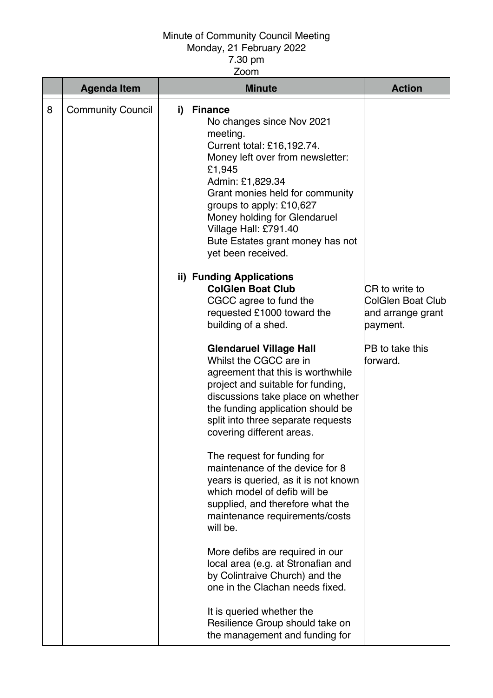# Minute of Community Council Meeting

#### Monday, 21 February 2022 7.30 pm

Zoom

|   | <b>Agenda Item</b>       | <b>Minute</b> |                                                                                                                                                                                                                                                                                                                                           | <b>Action</b>                                                        |
|---|--------------------------|---------------|-------------------------------------------------------------------------------------------------------------------------------------------------------------------------------------------------------------------------------------------------------------------------------------------------------------------------------------------|----------------------------------------------------------------------|
| 8 | <b>Community Council</b> | i)            | <b>Finance</b><br>No changes since Nov 2021<br>meeting.<br>Current total: £16,192.74.<br>Money left over from newsletter:<br>£1,945<br>Admin: £1,829.34<br>Grant monies held for community<br>groups to apply: £10,627<br>Money holding for Glendaruel<br>Village Hall: £791.40<br>Bute Estates grant money has not<br>yet been received. |                                                                      |
|   |                          |               | ii) Funding Applications<br><b>ColGlen Boat Club</b><br>CGCC agree to fund the<br>requested £1000 toward the<br>building of a shed.                                                                                                                                                                                                       | CR to write to<br>ColGlen Boat Club<br>and arrange grant<br>payment. |
|   |                          |               | <b>Glendaruel Village Hall</b><br>Whilst the CGCC are in<br>agreement that this is worthwhile<br>project and suitable for funding,<br>discussions take place on whether<br>the funding application should be<br>split into three separate requests<br>covering different areas.                                                           | <b>PB</b> to take this<br>forward.                                   |
|   |                          |               | The request for funding for<br>maintenance of the device for 8<br>years is queried, as it is not known<br>which model of defib will be<br>supplied, and therefore what the<br>maintenance requirements/costs<br>will be.                                                                                                                  |                                                                      |
|   |                          |               | More defibs are required in our<br>local area (e.g. at Stronafian and<br>by Colintraive Church) and the<br>one in the Clachan needs fixed.                                                                                                                                                                                                |                                                                      |
|   |                          |               | It is queried whether the<br>Resilience Group should take on<br>the management and funding for                                                                                                                                                                                                                                            |                                                                      |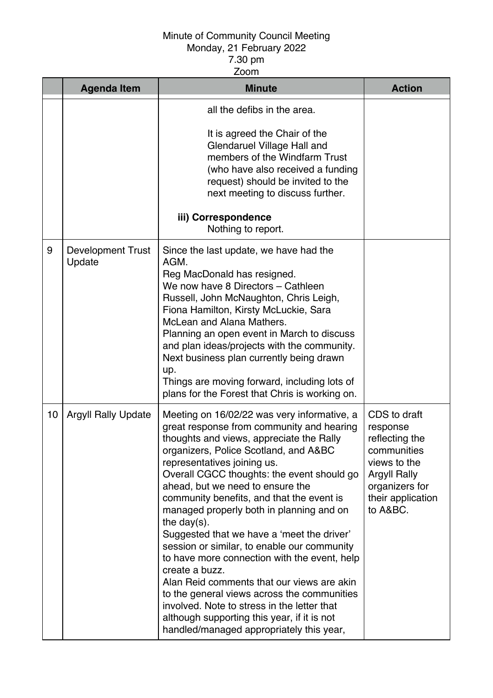|    | <b>Agenda Item</b>                 | <b>Minute</b>                                                                                                                                                                                                                                                                                                                                                                                                                                                                                                                                                                                                                                                                                                                                                                                                    | <b>Action</b>                                                                                                                                       |
|----|------------------------------------|------------------------------------------------------------------------------------------------------------------------------------------------------------------------------------------------------------------------------------------------------------------------------------------------------------------------------------------------------------------------------------------------------------------------------------------------------------------------------------------------------------------------------------------------------------------------------------------------------------------------------------------------------------------------------------------------------------------------------------------------------------------------------------------------------------------|-----------------------------------------------------------------------------------------------------------------------------------------------------|
|    |                                    | all the defibs in the area.<br>It is agreed the Chair of the<br>Glendaruel Village Hall and<br>members of the Windfarm Trust<br>(who have also received a funding<br>request) should be invited to the<br>next meeting to discuss further.                                                                                                                                                                                                                                                                                                                                                                                                                                                                                                                                                                       |                                                                                                                                                     |
|    |                                    | iii) Correspondence<br>Nothing to report.                                                                                                                                                                                                                                                                                                                                                                                                                                                                                                                                                                                                                                                                                                                                                                        |                                                                                                                                                     |
| 9  | <b>Development Trust</b><br>Update | Since the last update, we have had the<br>AGM.<br>Reg MacDonald has resigned.<br>We now have 8 Directors - Cathleen<br>Russell, John McNaughton, Chris Leigh,<br>Fiona Hamilton, Kirsty McLuckie, Sara<br>McLean and Alana Mathers.<br>Planning an open event in March to discuss<br>and plan ideas/projects with the community.<br>Next business plan currently being drawn<br>up.<br>Things are moving forward, including lots of<br>plans for the Forest that Chris is working on.                                                                                                                                                                                                                                                                                                                            |                                                                                                                                                     |
| 10 | <b>Argyll Rally Update</b>         | Meeting on 16/02/22 was very informative, a<br>great response from community and hearing<br>thoughts and views, appreciate the Rally<br>organizers, Police Scotland, and A&BC<br>representatives joining us.<br>Overall CGCC thoughts: the event should go<br>ahead, but we need to ensure the<br>community benefits, and that the event is<br>managed properly both in planning and on<br>the day $(s)$ .<br>Suggested that we have a 'meet the driver'<br>session or similar, to enable our community<br>to have more connection with the event, help<br>create a buzz.<br>Alan Reid comments that our views are akin<br>to the general views across the communities<br>involved. Note to stress in the letter that<br>although supporting this year, if it is not<br>handled/managed appropriately this year, | CDS to draft<br>response<br>reflecting the<br>communities<br>views to the<br><b>Argyll Rally</b><br>organizers for<br>their application<br>to A&BC. |